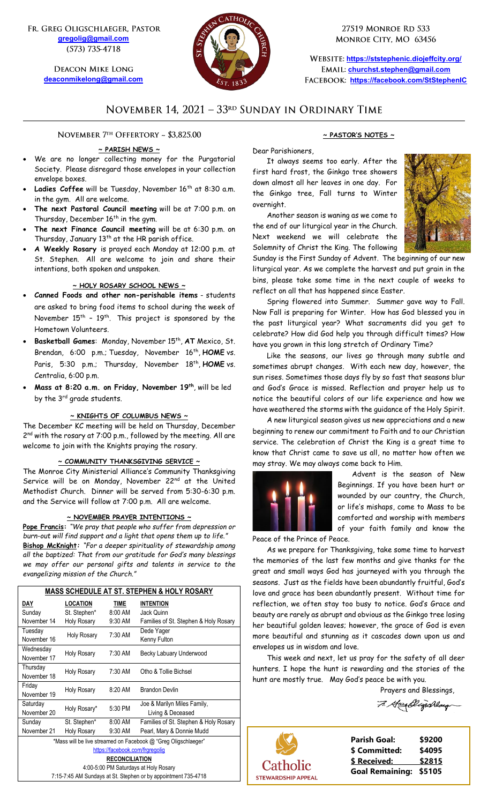FR. GREG OLIGSCHLAEGER, PASTOR **[gregolig@gmail.com](mailto:gregolig@gmail.com)** (573) 735-4718

> **DEACON MIKE LONG [deaconmikelong@gmail.com](mailto:deaconmikelong@gmail.com)**



27519 MONROE RD 533 MONROE CITY, MO 63456

**<https://ststephenic.diojeffcity.org/> [churchst.stephen@gmail.com](mailto:churchst.stephen@gmail.com) <https://facebook.com/StStephenIC>**

## NOVEMBER 14, 2021 - 33RD SUNDAY IN ORDINARY TIME

NOVEMBER 7<sup>TH</sup> OFFERTORY ~ \$3.825.00

#### **~ PARISH NEWS ~**

- We are no longer collecting money for the Purgatorial Society. Please disregard those envelopes in your collection envelope boxes.
- Ladies Coffee will be Tuesday, November 16<sup>th</sup> at 8:30 a.m. in the gym. All are welcome.
- **The next Pastoral Council meeting** will be at 7:00 p.m. on Thursday, December 16<sup>th</sup> in the gym.
- **The next Finance Council meeting** will be at 6:30 p.m. on Thursday, January 13<sup>th</sup> at the HR parish office.
- **A Weekly Rosary** is prayed each Monday at 12:00 p.m. at St. Stephen. All are welcome to join and share their intentions, both spoken and unspoken.

#### **~ HOLY ROSARY SCHOOL NEWS ~**

- **Canned Foods and other non-perishable items** students are asked to bring food items to school during the week of November  $15^{\text{th}}$  -  $19^{\text{th}}$ . This project is sponsored by the Hometown Volunteers.
- Basketball Games: Monday, November 15<sup>th</sup>, AT Mexico, St. Brendan, 6:00 p.m.; Tuesday, November 16<sup>th</sup>, **HOME** vs. Paris, 5:30 p.m.; Thursday, November 18th , **HOME** vs. Centralia, 6:00 p.m.
- **Mass at 8:20 a.m. on Friday, November 19 th**, will be led by the 3<sup>rd</sup> grade students.

#### **~ KNIGHTS OF COLUMBUS NEWS ~**

The December KC meeting will be held on Thursday, December 2<sup>nd</sup> with the rosary at 7:00 p.m., followed by the meeting. All are welcome to join with the Knights praying the rosary.

#### **~ COMMUNITY THANKSGIVING SERVICE ~**

The Monroe City Ministerial Alliance's Community Thanksgiving Service will be on Monday, November 22nd at the United Methodist Church. Dinner will be served from 5:30-6:30 p.m. and the Service will follow at 7:00 p.m. All are welcome.

### **~ NOVEMBER PRAYER INTENTIONS ~**

**Pope Francis:** *"We pray that people who suffer from depression or burn-out will find support and a light that opens them up to life."* **Bishop McKnight***: "For a deeper spirituality of stewardship among all the baptized: That from our gratitude for God's many blessings we may offer our personal gifts and talents in service to the evangelizing mission of the Church."*

| <b>MASS SCHEDULE AT ST. STEPHEN &amp; HOLY ROSARY</b>          |                    |         |                                       |  |  |  |
|----------------------------------------------------------------|--------------------|---------|---------------------------------------|--|--|--|
| DAY                                                            | <b>LOCATION</b>    | TIME    | <b>INTENTION</b>                      |  |  |  |
| Sunday                                                         | St. Stephen*       | 8:00 AM | Jack Quinn                            |  |  |  |
| November 14                                                    | <b>Holy Rosary</b> | 9:30 AM | Families of St. Stephen & Holy Rosary |  |  |  |
| Tuesday                                                        | Holy Rosary        | 7:30 AM | Dede Yager                            |  |  |  |
| November 16                                                    |                    |         | Kenny Fulton                          |  |  |  |
| Wednesday                                                      | <b>Holy Rosary</b> | 7:30 AM | Becky Labuary Underwood               |  |  |  |
| November 17                                                    |                    |         |                                       |  |  |  |
| Thursday                                                       | Holy Rosary        | 7:30 AM | Otho & Tollie Bichsel                 |  |  |  |
| November 18                                                    |                    |         |                                       |  |  |  |
| Friday                                                         | <b>Holy Rosary</b> | 8:20 AM | <b>Brandon Devlin</b>                 |  |  |  |
| November 19                                                    |                    |         |                                       |  |  |  |
| Saturday                                                       | Holy Rosary*       | 5:30 PM | Joe & Marilyn Miles Family,           |  |  |  |
| November 20                                                    |                    |         | Living & Deceased                     |  |  |  |
| Sunday                                                         | St. Stephen*       | 8:00 AM | Families of St. Stephen & Holy Rosary |  |  |  |
| November 21                                                    | <b>Holy Rosary</b> | 9:30 AM | Pearl, Mary & Donnie Mudd             |  |  |  |
| *Mass will be live streamed on Facebook @ "Greg Oligschlaeger" |                    |         |                                       |  |  |  |
| https://facebook.com/frgregolig                                |                    |         |                                       |  |  |  |
| <b>RECONCILIATION</b>                                          |                    |         |                                       |  |  |  |
| 4:00-5:00 PM Saturdays at Holy Rosary                          |                    |         |                                       |  |  |  |
| 7:15-7:45 AM Sundays at St. Stephen or by appointment 735-4718 |                    |         |                                       |  |  |  |

## **~ PASTOR'S NOTES ~**

Dear Parishioners,

It always seems too early. After the first hard frost, the Ginkgo tree showers down almost all her leaves in one day. For the Ginkgo tree, Fall turns to Winter overnight.

Another season is waning as we come to the end of our liturgical year in the Church. Next weekend we will celebrate the Solemnity of Christ the King. The following



Sunday is the First Sunday of Advent. The beginning of our new liturgical year. As we complete the harvest and put grain in the bins, please take some time in the next couple of weeks to reflect on all that has happened since Easter.

Spring flowered into Summer. Summer gave way to Fall. Now Fall is preparing for Winter. How has God blessed you in the past liturgical year? What sacraments did you get to celebrate? How did God help you through difficult times? How have you grown in this long stretch of Ordinary Time?

Like the seasons, our lives go through many subtle and sometimes abrupt changes. With each new day, however, the sun rises. Sometimes those days fly by so fast that seasons blur and God's Grace is missed. Reflection and prayer help us to notice the beautiful colors of our life experience and how we have weathered the storms with the guidance of the Holy Spirit.

A new liturgical season gives us new appreciations and a new beginning to renew our commitment to Faith and to our Christian service. The celebration of Christ the King is a great time to know that Christ came to save us all, no matter how often we may stray. We may always come back to Him.



Advent is the season of New Beginnings. If you have been hurt or wounded by our country, the Church, or life's mishaps, come to Mass to be comforted and worship with members of your faith family and know the

Peace of the Prince of Peace.

As we prepare for Thanksgiving, take some time to harvest the memories of the last few months and give thanks for the great and small ways God has journeyed with you through the seasons. Just as the fields have been abundantly fruitful, God's love and grace has been abundantly present. Without time for reflection, we often stay too busy to notice. God's Grace and beauty are rarely as abrupt and obvious as the Ginkgo tree losing her beautiful golden leaves; however, the grace of God is even more beautiful and stunning as it cascades down upon us and envelopes us in wisdom and love.

This week and next, let us pray for the safety of all deer hunters. I hope the hunt is rewarding and the stories of the hunt are mostly true. May God's peace be with you.

Prayers and Blessings,

7. Hospitagohlay



**Parish Goal: \$9200 \$ Committed: \$4095 \$ Received: \$2815 Goal Remaining: \$5105**